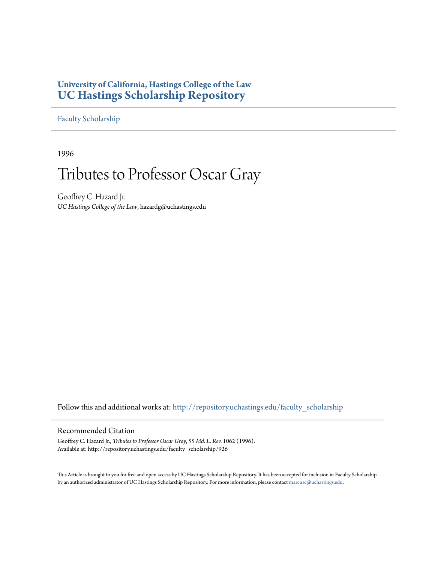### **University of California, Hastings College of the Law [UC Hastings Scholarship Repository](http://repository.uchastings.edu?utm_source=repository.uchastings.edu%2Ffaculty_scholarship%2F926&utm_medium=PDF&utm_campaign=PDFCoverPages)**

[Faculty Scholarship](http://repository.uchastings.edu/faculty_scholarship?utm_source=repository.uchastings.edu%2Ffaculty_scholarship%2F926&utm_medium=PDF&utm_campaign=PDFCoverPages)

1996

# Tributes to Professor Oscar Gray

Geoffrey C. Hazard Jr. *UC Hastings College of the Law*, hazardg@uchastings.edu

Follow this and additional works at: [http://repository.uchastings.edu/faculty\\_scholarship](http://repository.uchastings.edu/faculty_scholarship?utm_source=repository.uchastings.edu%2Ffaculty_scholarship%2F926&utm_medium=PDF&utm_campaign=PDFCoverPages)

#### Recommended Citation

Geoffrey C. Hazard Jr., *Tributes to Professor Oscar Gray*, 55 *Md. L. Rev.* 1062 (1996). Available at: http://repository.uchastings.edu/faculty\_scholarship/926

This Article is brought to you for free and open access by UC Hastings Scholarship Repository. It has been accepted for inclusion in Faculty Scholarship by an authorized administrator of UC Hastings Scholarship Repository. For more information, please contact [marcusc@uchastings.edu](mailto:marcusc@uchastings.edu).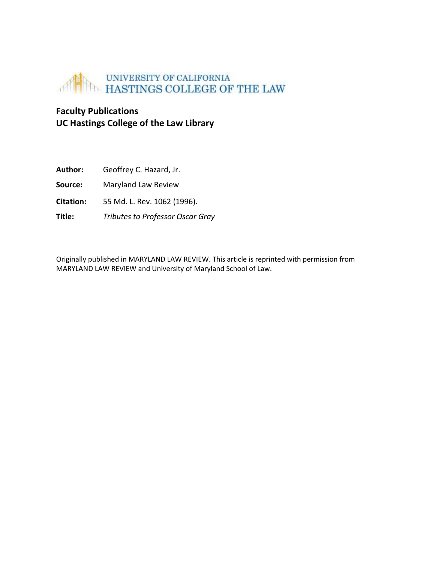

## **Faculty Publications UC Hastings College of the Law Library**

| Author:   | Geoffrey C. Hazard, Jr.                 |
|-----------|-----------------------------------------|
| Source:   | Maryland Law Review                     |
| Citation: | 55 Md. L. Rev. 1062 (1996).             |
| Title:    | <b>Tributes to Professor Oscar Gray</b> |

Originally published in MARYLAND LAW REVIEW. This article is reprinted with permission from MARYLAND LAW REVIEW and University of Maryland School of Law.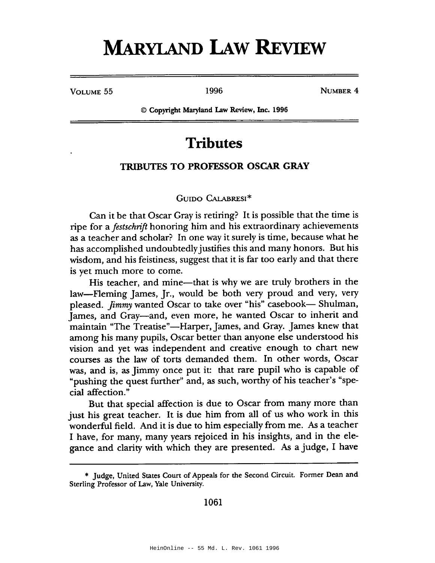# **MARYLAND LAW REVIEW**

VOLUME 55

1996

NUMBER 4

© Copyright Maryland Law Review, Inc. 1996

# **Tributes**

#### **TRIBUTES TO PROFESSOR OSCAR GRAY**

#### GUIDO CALABRESI\*

Can it be that Oscar Gray is retiring? It is possible that the time is ripe for a *festschrift* honoring him and his extraordinary achievements as a teacher and scholar? In one way it surely is time, because what he has accomplished undoubtedly justifies this and many honors. But his wisdom, and his feistiness, suggest that it is far too early and that there is yet much more to come.

His teacher, and mine—that is why we are truly brothers in the law-Fleming James, Jr., would be both very proud and very, very pleased. *Jimmy* wanted Oscar to take over "his" casebook— Shulman, James, and Gray-and, even more, he wanted Oscar to inherit and maintain "The Treatise"—Harper, James, and Gray. James knew that among his many pupils, Oscar better than anyone else understood his vision and yet was independent and creative enough to chart new courses as the law of torts demanded them. In other words, Oscar was, and is, as Jimmy once put it: that rare pupil who is capable of "pushing the quest further" and, as such, worthy of his teacher's "special affection."

But that special affection is due to Oscar from many more than just his great teacher. It is due him from all of us who work in this wonderful field. And it is due to him especially from me. As a teacher I have, for many, many years rejoiced in his insights, and in the elegance and clarity with which they are presented. As a judge, I have

1061

<sup>\*</sup> Judge, United States Court of Appeals for the Second Circuit. Former Dean and Sterling Professor of Law, Yale University.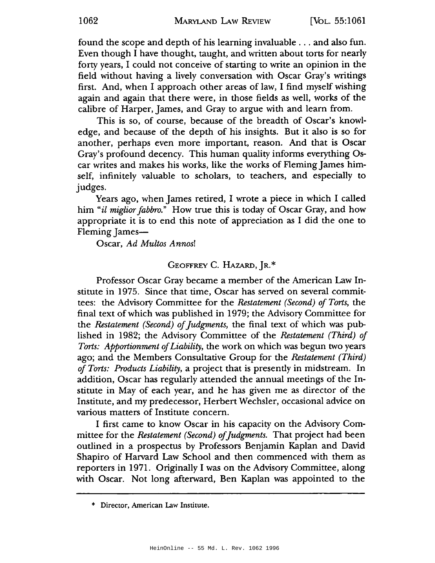found the scope and depth of his learning invaluable . . . and also fun. Even though I have thought, taught, and written about torts for nearly forty years, I could not conceive of starting to write an opinion in the field without having a lively conversation with Oscar Gray's writings first. And, when I approach other areas of law, I find myself wishing again and again that there were, in those fields as well, works of the calibre of Harper, James, and Gray to argue with and learn from.

This is so, of course, because of the breadth of Oscar's knowledge, and because of the depth of his insights. But it also is so for another, perhaps even more important, reason. And that is Oscar Gray's profound decency. This human quality informs everything Oscar writes and makes his works, like the works of Fleming James himself, infinitely valuable to scholars, to teachers, and especially to judges.

Years ago, when James retired, I wrote a piece in which I called him "*il miglior fabbro.*" How true this is today of Oscar Gray, and how appropriate it is to end this note of appreciation as I did the one to Fleming James—

Oscar, Ad Multos Annos!

#### GEOFFREY C. HAZARD, JR.\*

Professor Oscar Gray became a member of the American Law Institute in 1975. Since that time, Oscar has served on several committees: the Advisory Committee for the Restatement (Second) of Torts, the final text of which was published in 1979; the Advisory Committee for the Restatement (Second) of Judgments, the final text of which was published in 1982; the Advisory Committee of the Restatement (Third) of Torts: Apportionment of Liability, the work on which was begun two years ago; and the Members Consultative Group for the Restatement (Third) of Torts: Products Liability, a project that is presently in midstream. In addition, Oscar has regularly attended the annual meetings of the Institute in May of each year, and he has given me as director of the Institute, and my predecessor, Herbert Wechsler, occasional advice on various matters of Institute concern.

I first came to know Oscar in his capacity on the Advisory Committee for the Restatement (Second) of Judgments. That project had been outlined in a prospectus by Professors Benjamin Kaplan and David Shapiro of Harvard Law School and then commenced with them as reporters in 1971. Originally I was on the Advisory Committee, along with Oscar. Not long afterward, Ben Kaplan was appointed to the

<sup>\*</sup> Director, American Law Institute.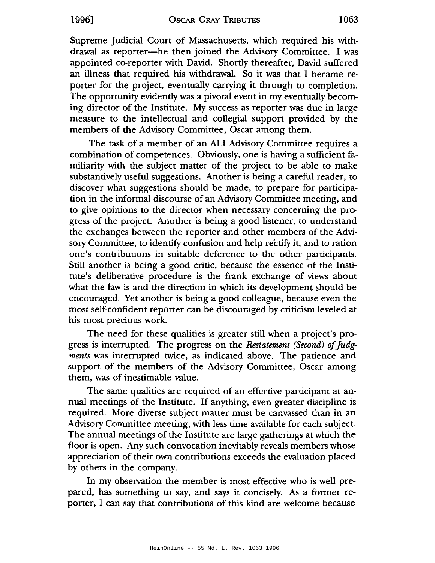Supreme Judicial Court of Massachusetts, which required his withdrawal as reporter-he then joined the Advisory Committee. I was appointed co-reporter with David. Shortly thereafter, David suffered an illness that required his withdrawal. So it was that I became reporter for the project, eventually carrying it through to completion. The opportunity evidently was a pivotal event in my eventually becoming director of the Institute. My success as reporter was due in large measure to the intellectual and collegial support provided by the members of the Advisory Committee, Oscar among them.

The task of a member of an ALI Advisory Committee requires a combination of competences. Obviously, one is having a sufficient familiarity with the subject matter of the project to be able to make substantively useful suggestions. Another is being a careful reader, to discover what suggestions should be made, to prepare for participation in the informal discourse of an Advisory Committee meeting, and to give opinions to the director when necessary concerning the progress of the project. Another is being a good listener, to understand the exchanges between the reporter and other members of the Advisory Committee, to identify confusion and help rectify it, and to ration one's contributions in suitable deference to the other participants. Still another is being a good critic, because the essence of the Institute's deliberative procedure is the frank exchange of views about what the law is and the direction in which its development should be encouraged. Yet another is being a good colleague, because even the most self-confident reporter can be discouraged by criticism leveled at his most precious work.

The need for these qualities is greater still when a project's progress is interrupted. The progress on the Restatement (Second) of Judgments was interrupted twice, as indicated above. The patience and support of the members of the Advisory Committee, Oscar among them, was of inestimable value.

The same qualities are required of an effective participant at annual meetings of the Institute. If anything, even greater discipline is required. More diverse subject matter must be canvassed than in an Advisory Committee meeting, with less time available for each subject. The annual meetings of the Institute are large gatherings at which the floor is open. Any such convocation inevitably reveals members whose appreciation of their own contributions exceeds the evaluation placed by others in the company.

In my observation the member is most effective who is well prepared, has something to say, and says it concisely. As a former reporter, I can say that contributions of this kind are welcome because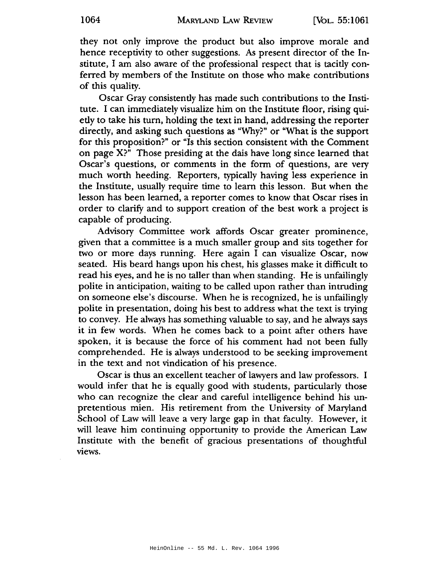they not only improve the product but also improve morale and hence receptivity to other suggestions. As present director of the Institute, I am also aware of the professional respect that is tacitly conferred by members of the Institute on those who make contributions of this quality.

Oscar Gray consistently has made such contributions to the Institute. I can immediately visualize him on the Institute floor, rising quietly to take his turn, holding the text in hand, addressing the reporter directly, and asking such questions as "Why?" or "What is the support for this proposition?" or "Is this section consistent with the Comment on page X?" Those presiding at the dais have long since learned that Oscar's questions, or comments in the form of questions, are very much worth heeding. Reporters, typically having less experience in the Institute, usually require time to learn this lesson. But when the lesson has been learned, a reporter comes to know that Oscar rises in order to clarify and to support creation of the best work a project is capable of producing.

Advisory Committee work affords Oscar greater prominence, given that a committee is a much smaller group and sits together for two or more days running. Here again I can visualize Oscar, now seated. His beard hangs upon his chest, his glasses make it difficult to read his eyes, and he is no taller than when standing. He is unfailingly polite in anticipation, waiting to be called upon rather than intruding on someone else's discourse. When he is recognized, he is unfailingly polite in presentation, doing his best to address what the text is trying to convey. He always has something valuable to say, and he always says it in few words. When he comes back to a point after others have spoken, it is because the force of his comment had not been fully comprehended. He is always understood to be seeking improvement in the text and not vindication of his presence.

Oscar is thus an excellent teacher of lawyers and law professors. I would infer that he is equally good with students, particularly those who can recognize the clear and careful intelligence behind his unpretentious mien. His retirement from the University of Maryland School of Law will leave a very large gap in that faculty. However, it will leave him continuing opportunity to provide the American Law Institute with the benefit of gracious presentations of thoughtful views.

1064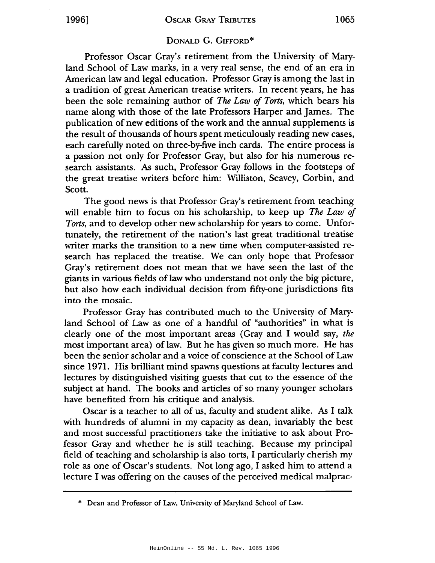### DONALD G. GIFFORD\*

Professor Oscar Gray's retirement from the University of Maryland School of Law marks, in a very real sense, the end of an era in American law and legal education. Professor Gray is among the last in a tradition of great American treatise writers. In recent years, he has been the sole remaining author of The Law of Torts, which bears his name along with those of the late Professors Harper and James. The publication of new editions of the work and the annual supplements is the result of thousands of hours spent meticulously reading new cases, each carefully noted on three-by-five inch cards. The entire process is a passion not only for Professor Gray, but also for his numerous research assistants. As such, Professor Gray follows in the footsteps of the great treatise writers before him: Williston, Seavey, Corbin, and Scott.

The good news is that Professor Gray's retirement from teaching will enable him to focus on his scholarship, to keep up The Law of Torts, and to develop other new scholarship for years to come. Unfortunately, the retirement of the nation's last great traditional treatise writer marks the transition to a new time when computer-assisted research has replaced the treatise. We can only hope that Professor Gray's retirement does not mean that we have seen the last of the giants in various fields of law who understand not only the big picture, but also how each individual decision from fifty-one jurisdictions fits into the mosaic.

Professor Gray has contributed much to the University of Maryland School of Law as one of a handful of "authorities" in what is clearly one of the most important areas (Gray and I would say, the most important area) of law. But he has given so much more. He has been the senior scholar and a voice of conscience at the School of Law since 1971. His brilliant mind spawns questions at faculty lectures and lectures by distinguished visiting guests that cut to the essence of the subject at hand. The books and articles of so many younger scholars have benefited from his critique and analysis.

Oscar is a teacher to all of us, faculty and student alike. As I talk with hundreds of alumni in my capacity as dean, invariably the best and most successful practitioners take the initiative to ask about Professor Gray and whether he is still teaching. Because my principal field of teaching and scholarship is also torts, I particularly cherish my role as one of Oscar's students. Not long ago, I asked him to attend a lecture I was offering on the causes of the perceived medical malprac-

<sup>\*</sup> Dean and Professor of Law, University of Maryland School of Law.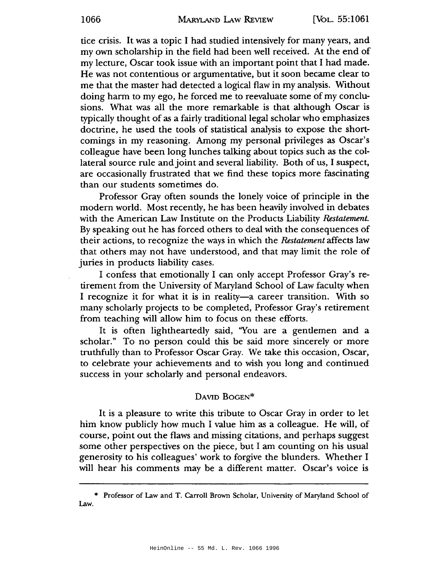tice crisis. It was a topic I had studied intensively for many years, and my own scholarship in the field had been well received. At the end of my lecture, Oscar took issue with an important point that I had made. He was not contentious or argumentative, but it soon became clear to me that the master had detected a logical flaw in my analysis. Without doing harm to my ego, he forced me to reevaluate some of my conclusions. What was all the more remarkable is that although Oscar is typically thought of as a fairly traditional legal scholar who emphasizes doctrine, he used the tools of statistical analysis to expose the shortcomings in my reasoning. Among my personal privileges as Oscar's colleague have been long lunches talking about topics such as the collateral source rule and joint and several liability. Both of us, I suspect, are occasionally frustrated that we find these topics more fascinating than our students sometimes do.

Professor Gray often sounds the lonely voice of principle in the modern world. Most recently, he has been heavily involved in debates with the American Law Institute on the Products Liability Restatement. By speaking out he has forced others to deal with the consequences of their actions, to recognize the ways in which the Restatement affects law that others may not have understood, and that may limit the role of juries in products liability cases.

I confess that emotionally I can only accept Professor Gray's retirement from the University of Maryland School of Law faculty when I recognize it for what it is in reality—a career transition. With so many scholarly projects to be completed, Professor Gray's retirement from teaching will allow him to focus on these efforts.

It is often lightheartedly said, "You are a gentlemen and a scholar." To no person could this be said more sincerely or more truthfully than to Professor Oscar Gray. We take this occasion, Oscar, to celebrate your achievements and to wish you long and continued success in your scholarly and personal endeavors.

#### DAVID BOGEN\*

It is a pleasure to write this tribute to Oscar Gray in order to let him know publicly how much I value him as a colleague. He will, of course, point out the flaws and missing citations, and perhaps suggest some other perspectives on the piece, but I am counting on his usual generosity to his colleagues' work to forgive the blunders. Whether I will hear his comments may be a different matter. Oscar's voice is

<sup>\*</sup> Professor of Law and T. Carroll Brown Scholar, University of Maryland School of Law.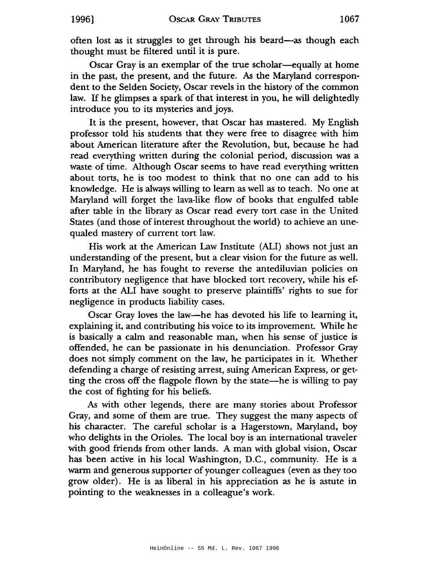often lost as it struggles to get through his beard—as though each thought must be filtered until it is pure.

Oscar Gray is an exemplar of the true scholar—equally at home in the past, the present, and the future. As the Maryland correspondent to the Selden Society, Oscar revels in the history of the common law. If he glimpses a spark of that interest in you, he will delightedly introduce you to its mysteries and joys.

It is the present, however, that Oscar has mastered. My English professor told his students that they were free to disagree with him about American literature after the Revolution, but, because he had read everything written during the colonial period, discussion was a waste of time. Although Oscar seems to have read everything written about torts, he is too modest to think that no one can add to his knowledge. He is always willing to learn as well as to teach. No one at Maryland will forget the lava-like flow of books that engulfed table after table in the library as Oscar read every tort case in the United States (and those of interest throughout the world) to achieve an unequaled mastery of current tort law.

His work at the American Law Institute (ALI) shows not just an understanding of the present, but a clear vision for the future as well. In Maryland, he has fought to reverse the antediluvian policies on contributory negligence that have blocked tort recovery, while his efforts at the ALI have sought to preserve plaintiffs' rights to sue for negligence in products liability cases.

Oscar Gray loves the law—he has devoted his life to learning it, explaining it, and contributing his voice to its improvement. While he is basically a calm and reasonable man, when his sense of justice is offended, he can be passionate in his denunciation. Professor Gray does not simply comment on the law, he participates in it. Whether defending a charge of resisting arrest, suing American Express, or getting the cross off the flagpole flown by the state—he is willing to pay the cost of fighting for his beliefs.

As with other legends, there are many stories about Professor Gray, and some of them are true. They suggest the many aspects of his character. The careful scholar is a Hagerstown, Maryland, boy who delights in the Orioles. The local boy is an international traveler with good friends from other lands. A man with global vision, Oscar has been active in his local Washington, D.C., community. He is a warm and generous supporter of younger colleagues (even as they too grow older). He is as liberal in his appreciation as he is astute in pointing to the weaknesses in a colleague's work.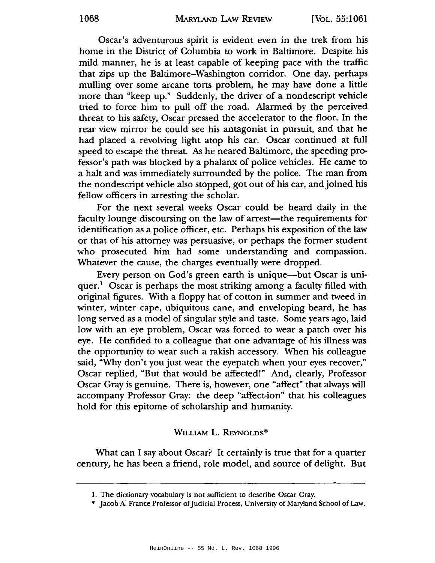Oscar's adventurous spirit is evident even in the trek from his home in the District of Columbia to work in Baltimore. Despite his mild manner, he is at least capable of keeping pace with the traffic that zips up the Baltimore-Washington corridor. One day, perhaps mulling over some arcane torts problem, he may have done a little more than "keep up." Suddenly, the driver of a nondescript vehicle tried to force him to pull off the road. Alarmed by the perceived threat to his safety, Oscar pressed the accelerator to the floor. In the rear view mirror he could see his antagonist in pursuit, and that he had placed a revolving light atop his car. Oscar continued at full speed to escape the threat. As he neared Baltimore, the speeding professor's path was blocked by a phalanx of police vehicles. He came to a halt and was immediately surrounded by the police. The man from the nondescript vehicle also stopped, got out of his car, and joined his fellow officers in arresting the scholar.

For the next several weeks Oscar could be heard daily in the faculty lounge discoursing on the law of arrest—the requirements for identification as a police officer, etc. Perhaps his exposition of the law or that of his attorney was persuasive, or perhaps the former student who prosecuted him had some understanding and compassion. Whatever the cause, the charges eventually were dropped.

Every person on God's green earth is unique—but Oscar is uni $quer.<sup>1</sup> Oscar is perhaps the most striking among a faculty filled with$ original figures. With a floppy hat of cotton in summer and tweed in winter, winter cape, ubiquitous cane, and enveloping beard, he has long served as a model of singular style and taste. Some years ago, laid low with an eye problem, Oscar was forced to wear a patch over his eye. He confided to a colleague that one advantage of his illness was the opportunity to wear such a rakish accessory. When his colleague said, "Why don't you just wear the eyepatch when your eyes recover," Oscar replied, "But that would be affected!" And, clearly, Professor Oscar Gray is genuine. There is, however, one "affect" that always will accompany Professor Gray: the deep "affect-ion" that his colleagues hold for this epitome of scholarship and humanity.

#### WILLIAM L. REYNOLDS\*

What can I say about Oscar? It certainly is true that for a quarter century, he has been a friend, role model, and source of delight. But

<sup>1.</sup> The dictionary vocabulary is not sufficient to describe Oscar Gray.

<sup>\*</sup> Jacob A. France Professor of Judicial Process, University of Maryland School of Law.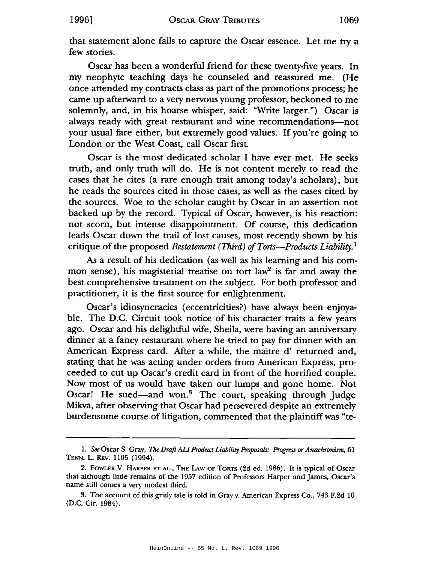that statement alone fails to capture the Oscar essence. Let me try a few stories.

Oscar has been a wonderful friend for these twenty-five years. In my neophyte teaching days he counseled and reassured me. (He once attended my contracts class as part of the promotions process; he came up afterward to a very nervous young professor, beckoned to me solemnly, and, in his hoarse whisper, said: "Write larger.") Oscar is always ready with great restaurant and wine recommendations-not your usual fare either, but extremely good values. If you're going to London or the West Coast, call Oscar first.

Oscar is the most dedicated scholar I have ever met. He seeks truth, and only truth will do. He is not content merely to read the cases that he cites (a rare enough trait among today's scholars), but he reads the sources cited in those cases, as well as the cases cited by the sources. Woe to the scholar caught by Oscar in an assertion not backed up by the record. Typical of Oscar, however, is his reaction: not scorn, but intense disappointment. Of course, this dedication leads Oscar down the trail of lost causes, most recently shown by his critique of the proposed Restatement (Third) of Torts—Products Liability.<sup>1</sup>

As a result of his dedication (as well as his learning and his common sense), his magisterial treatise on tort law<sup>2</sup> is far and away the best comprehensive treatment on the subject. For both professor and practitioner, it is the first source for enlightenment.

Oscar's idiosyncracies (eccentricities?) have always been enjoyable. The D.C. Circuit took notice of his character traits a few years ago. Oscar and his delightful wife, Sheila, were having an anniversary dinner at a fancy restaurant where he tried to pay for dinner with an American Express card. After a while, the maitre d' returned and, stating that he was acting under orders from American Express, proceeded to cut up Oscar's credit card in front of the horrified couple. Now most of us would have taken our lumps and gone home. Not Oscar! He sued-and won.<sup>3</sup> The court, speaking through Judge Mikva, after observing that Oscar had persevered despite an extremely burdensome course of litigation, commented that the plaintiff was "te-

1996]

<sup>1.</sup> See Oscar S. Gray, The Draft ALI Product Liability Proposals: Progress or Anachronism, 61 TENN. L. REV. 1105 (1994).

<sup>2.</sup> FOWLER V. HARPER ET AL., THE LAW OF TORTS (2d ed. 1986). It is typical of Oscar that although little remains of the 1957 edition of Professors Harper and James, Oscar's name still comes a very modest third.

<sup>3.</sup> The account of this grisly tale is told in Gray v. American Express Co., 743 F.2d 10 (D.C. Cir. 1984).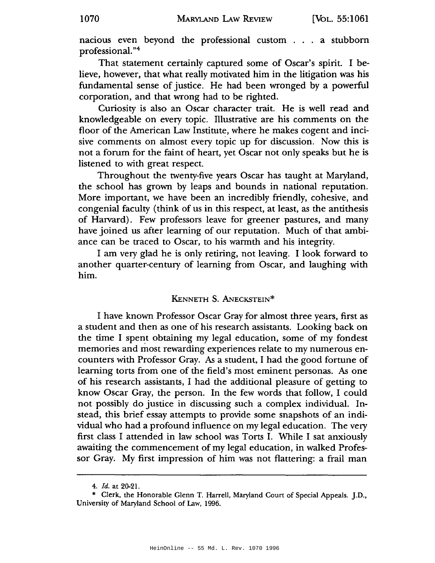nacious even beyond the professional custom . . . a stubborn professional."4

That statement certainly captured some of Oscar's spirit. I believe, however, that what really motivated him in the litigation was his fundamental sense of justice. He had been wronged by a powerful corporation, and that wrong had to be righted.

Curiosity is also an Oscar character trait. He is well read and knowledgeable on every topic. Illustrative are his comments on the floor of the American Law Institute, where he makes cogent and incisive comments on almost every topic up for discussion. Now this is not a forum for the faint of heart, yet Oscar not only speaks but he is listened to with great respect.

Throughout the twenty-five years Oscar has taught at Maryland, the school has grown by leaps and bounds in national reputation. More important, we have been an incredibly friendly, cohesive, and congenial faculty (think of us in this respect, at least, as the antithesis of Harvard). Few professors leave for greener pastures, and many have joined us after learning of our reputation. Much of that ambiance can be traced to Oscar, to his warmth and his integrity.

I am very glad he is only retiring, not leaving. I look forward to another quarter-century of learning from Oscar, and laughing with him.

#### KENNETH S. ANECKSTEIN\*

I have known Professor Oscar Gray for almost three years, first as a student and then as one of his research assistants. Looking back on the time I spent obtaining my legal education, some of my fondest memories and most rewarding experiences relate to my numerous encounters with Professor Gray. As a student, I had the good fortune of learning torts from one of the field's most eminent personas. As one of his research assistants, I had the additional pleasure of getting to know Oscar Gray, the person. In the few words that follow, I could not possibly do justice in discussing such a complex individual. Instead, this brief essay attempts to provide some snapshots of an individual who had a profound influence on my legal education. The very first class I attended in law school was Torts I. While I sat anxiously awaiting the commencement of my legal education, in walked Professor Gray. My first impression of him was not flattering: a frail man

<sup>4.</sup> Id. at 20-21.

<sup>\*</sup> Clerk, the Honorable Glenn T. Harrell, Maryland Court of Special Appeals. J.D., University of Maryland School of Law, 1996.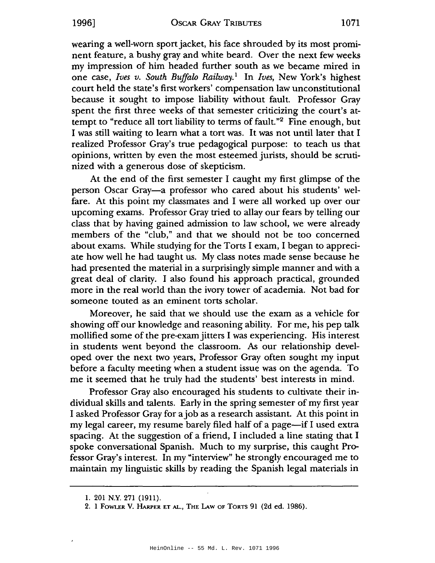wearing a well-worn sport jacket, his face shrouded by its most prominent feature, a bushy gray and white beard. Over the next few weeks my impression of him headed further south as we became mired in one case, Ives v. South Buffalo Railway.<sup>1</sup> In Ives, New York's highest court held the state's first workers' compensation law unconstitutional because it sought to impose liability without fault. Professor Gray spent the first three weeks of that semester criticizing the court's attempt to "reduce all tort liability to terms of fault."<sup>2</sup> Fine enough, but I was still waiting to learn what a tort was. It was not until later that I realized Professor Gray's true pedagogical purpose: to teach us that opinions, written by even the most esteemed jurists, should be scrutinized with a generous dose of skepticism.

At the end of the first semester I caught my first glimpse of the person Oscar Gray-a professor who cared about his students' welfare. At this point my classmates and I were all worked up over our upcoming exams. Professor Gray tried to allay our fears by telling our class that by having gained admission to law school, we were already members of the "club," and that we should not be too concerned about exams. While studying for the Torts I exam, I began to appreciate how well he had taught us. My class notes made sense because he had presented the material in a surprisingly simple manner and with a great deal of clarity. I also found his approach practical, grounded more in the real world than the ivory tower of academia. Not bad for someone touted as an eminent torts scholar.

Moreover, he said that we should use the exam as a vehicle for showing off our knowledge and reasoning ability. For me, his pep talk mollified some of the pre-exam jitters I was experiencing. His interest in students went beyond the classroom. As our relationship developed over the next two years, Professor Gray often sought my input before a faculty meeting when a student issue was on the agenda. To me it seemed that he truly had the students' best interests in mind.

Professor Gray also encouraged his students to cultivate their individual skills and talents. Early in the spring semester of my first year I asked Professor Gray for a job as a research assistant. At this point in my legal career, my resume barely filed half of a page—if I used extra spacing. At the suggestion of a friend, I included a line stating that I spoke conversational Spanish. Much to my surprise, this caught Professor Gray's interest. In my "interview" he strongly encouraged me to maintain my linguistic skills by reading the Spanish legal materials in

19961

<sup>1. 201</sup> N.Y. 271 (1911).

<sup>2.</sup> I FOWLER V. HARPER ET AL., THE LAW OF TORTS 91 (2d ed. 1986).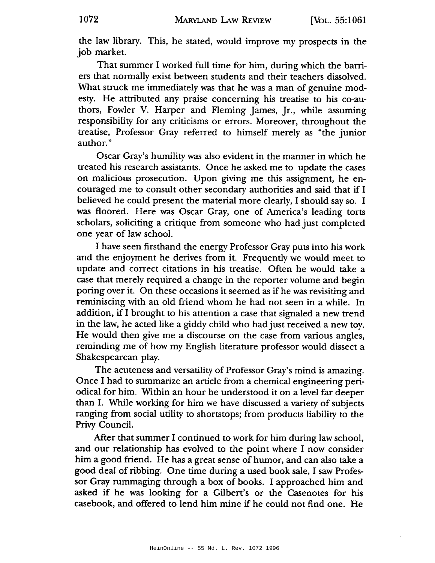the law library. This, he stated, would improve my prospects in the job market.

That summer I worked full time for him, during which the barriers that normally exist between students and their teachers dissolved. What struck me immediately was that he was a man of genuine modesty. He attributed any praise concerning his treatise to his co-authors, Fowler V. Harper and Fleming James, Jr., while assuming responsibility for any criticisms or errors. Moreover, throughout the treatise, Professor Gray referred to himself merely as "the junior author."

Oscar Gray's humility was also evident in the manner in which he treated his research assistants. Once he asked me to update the cases on malicious prosecution. Upon giving me this assignment, he encouraged me to consult other secondary authorities and said that if I believed he could present the material more clearly, I should say so. I was floored. Here was Oscar Gray, one of America's leading torts scholars, soliciting a critique from someone who had just completed one year of law school.

I have seen firsthand the energy Professor Gray puts into his work and the enjoyment he derives from it. Frequently we would meet to update and correct citations in his treatise. Often he would take a case that merely required a change in the reporter volume and begin poring over it. On these occasions it seemed as if he was revisiting and reminiscing with an old friend whom he had not seen in a while. In addition, if I brought to his attention a case that signaled a new trend in the law, he acted like a giddy child who had just received a new toy. He would then give me a discourse on the case from various angles, reminding me of how my English literature professor would dissect a Shakespearean play.

The acuteness and versatility of Professor Gray's mind is amazing. Once I had to summarize an article from a chemical engineering periodical for him. Within an hour he understood it on a level far deeper than I. While working for him we have discussed a variety of subjects ranging from social utility to shortstops; from products liability to the Privy Council.

After that summer I continued to work for him during law school, and our relationship has evolved to the point where I now consider him a good friend. He has a great sense of humor, and can also take a good deal of ribbing. One time during a used book sale, I saw Professor Gray rummaging through a box of books. I approached him and asked if he was looking for a Gilbert's or the Casenotes for his casebook, and offered to lend him mine if he could not find one. He